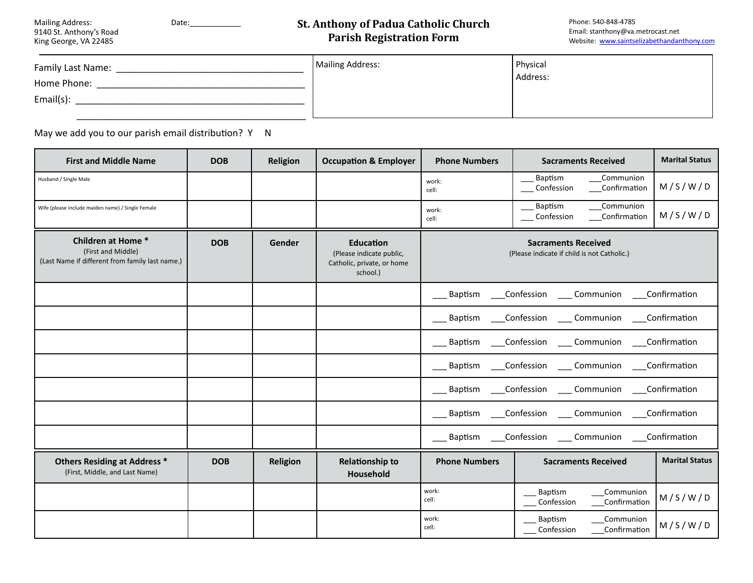| <b>Mailing Address:</b> |  |
|-------------------------|--|
| 9140 St. Anthony's Road |  |
| King George, VA 22485   |  |

#### Mailing Address: Date:\_\_\_\_\_\_\_\_\_\_\_\_

## **St. Anthony of Padua Catholic Church Parish Registration Form**

| Family Last Name: | Mailing Address: | Physical |
|-------------------|------------------|----------|
| Home Phone:       |                  | Address: |
| $Email(s)$ :      |                  |          |
|                   |                  |          |

May we add you to our parish email distribution?  $Y \cap N$ 

| <b>First and Middle Name</b>                                                                | <b>DOB</b> | Religion | <b>Occupation &amp; Employer</b>                                                       | <b>Phone Numbers</b> | <b>Sacraments Received</b>                                                | <b>Marital Status</b> |
|---------------------------------------------------------------------------------------------|------------|----------|----------------------------------------------------------------------------------------|----------------------|---------------------------------------------------------------------------|-----------------------|
| Husband / Single Male                                                                       |            |          |                                                                                        | work:<br>cell:       | Communion<br>Baptism<br>Confession<br>Confirmation                        | M/S/W/D               |
| Wife (please include maiden name) / Single Female                                           |            |          |                                                                                        | work:<br>cell:       | Communion<br>Baptism<br>Confession<br>Confirmation                        | M/S/W/D               |
| Children at Home *<br>(First and Middle)<br>(Last Name if different from family last name.) | <b>DOB</b> | Gender   | <b>Education</b><br>(Please indicate public,<br>Catholic, private, or home<br>school.) |                      | <b>Sacraments Received</b><br>(Please indicate if child is not Catholic.) |                       |
|                                                                                             |            |          |                                                                                        | <b>Baptism</b>       | Confession<br>Communion                                                   | Confirmation          |
|                                                                                             |            |          |                                                                                        | <b>Baptism</b>       | Confession<br>Communion                                                   | Confirmation          |
|                                                                                             |            |          |                                                                                        | Baptism              | Confession Communion                                                      | Confirmation          |
|                                                                                             |            |          |                                                                                        | Baptism              | Confession Communion                                                      | Confirmation          |
|                                                                                             |            |          |                                                                                        | Baptism              | Confession<br>___ Communion                                               | Confirmation          |
|                                                                                             |            |          |                                                                                        | Baptism              | Confession<br>____ Communion                                              | Confirmation          |
|                                                                                             |            |          |                                                                                        | Baptism              | Confession Communion Confirmation                                         |                       |
| <b>Others Residing at Address *</b><br>(First, Middle, and Last Name)                       | <b>DOB</b> | Religion | <b>Relationship to</b><br>Household                                                    | <b>Phone Numbers</b> | <b>Sacraments Received</b>                                                | <b>Marital Status</b> |
|                                                                                             |            |          |                                                                                        | work:<br>cell:       | Baptism<br>Communion<br>Confession<br>Confirmation                        | M/S/W/D               |
|                                                                                             |            |          |                                                                                        | work:<br>cell:       | Baptism<br>Communion<br>Confession<br>Confirmation                        | M/S/W/D               |